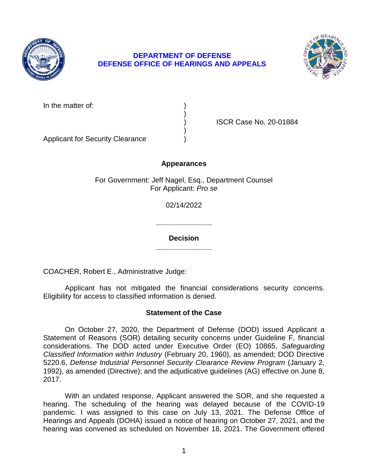

# **DEPARTMENT OF DEFENSE DEFENSE OFFICE OF HEARINGS AND APPEALS**



In the matter of:

) ISCR Case No. 20-01884

Applicant for Security Clearance )

# **Appearances**

)

)

For Government: Jeff Nagel, Esq., Department Counsel For Applicant: *Pro se* 

02/14/2022

**\_\_\_\_\_\_\_\_\_\_\_\_\_\_ Decision** 

**\_\_\_\_\_\_\_\_\_\_\_\_\_\_** 

COACHER, Robert E., Administrative Judge:

Applicant has not mitigated the financial considerations security concerns. Eligibility for access to classified information is denied.

### **Statement of the Case**

 Statement of Reasons (SOR) detailing security concerns under Guideline F, financial  *Classified Information within Industry* (February 20, 1960), as amended; DOD Directive 5220.6, *Defense Industrial Personnel Security Clearance Review Program* (January 2, On October 27, 2020, the Department of Defense (DOD) issued Applicant a considerations. The DOD acted under Executive Order (EO) 10865, *Safeguarding*  1992), as amended (Directive); and the adjudicative guidelines (AG) effective on June 8, 2017.

 With an undated response, Applicant answered the SOR, and she requested a hearing. The scheduling of the hearing was delayed because of the COVID-19 pandemic. I was assigned to this case on July 13, 2021. The Defense Office of Hearings and Appeals (DOHA) issued a notice of hearing on October 27, 2021, and the hearing was convened as scheduled on November 18, 2021. The Government offered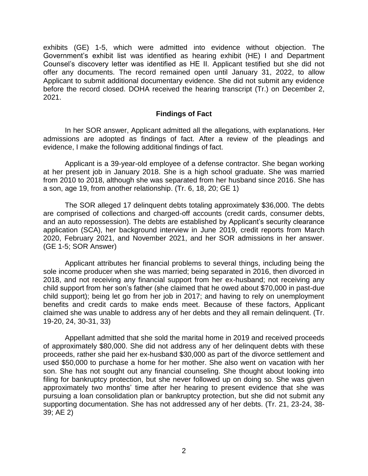Counsel's discovery letter was identified as HE II. Applicant testified but she did not offer any documents. The record remained open until January 31, 2022, to allow Applicant to submit additional documentary evidence. She did not submit any evidence before the record closed. DOHA received the hearing transcript (Tr.) on December 2, exhibits (GE) 1-5, which were admitted into evidence without objection. The Government's exhibit list was identified as hearing exhibit (HE) I and Department 2021.

#### **Findings of Fact**

 admissions are adopted as findings of fact. After a review of the pleadings and evidence, I make the following additional findings of fact. In her SOR answer, Applicant admitted all the allegations, with explanations. Her

 Applicant is a 39-year-old employee of a defense contractor. She began working at her present job in January 2018. She is a high school graduate. She was married from 2010 to 2018, although she was separated from her husband since 2016. She has a son, age 19, from another relationship. (Tr. 6, 18, 20; GE 1)

 are comprised of collections and charged-off accounts (credit cards, consumer debts, and an auto repossession). The debts are established by Applicant's security clearance 2020, February 2021, and November 2021, and her SOR admissions in her answer. The SOR alleged 17 delinquent debts totaling approximately \$36,000. The debts application (SCA), her background interview in June 2019, credit reports from March (GE 1-5; SOR Answer)

 Applicant attributes her financial problems to several things, including being the sole income producer when she was married; being separated in 2016, then divorced in 2018, and not receiving any financial support from her ex-husband; not receiving any child support); being let go from her job in 2017; and having to rely on unemployment benefits and credit cards to make ends meet. Because of these factors, Applicant claimed she was unable to address any of her debts and they all remain delinquent. (Tr. child support from her son's father (she claimed that he owed about \$70,000 in past-due 19-20, 24, 30-31, 33)

Appellant admitted that she sold the marital home in 2019 and received proceeds of approximately \$80,000. She did not address any of her delinquent debts with these proceeds, rather she paid her ex-husband \$30,000 as part of the divorce settlement and used \$50,000 to purchase a home for her mother. She also went on vacation with her son. She has not sought out any financial counseling. She thought about looking into filing for bankruptcy protection, but she never followed up on doing so. She was given approximately two months' time after her hearing to present evidence that she was pursuing a loan consolidation plan or bankruptcy protection, but she did not submit any supporting documentation. She has not addressed any of her debts. (Tr. 21, 23-24, 38- 39; AE 2)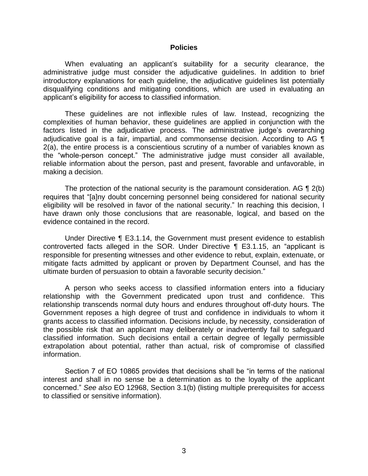#### **Policies**

 When evaluating an applicant's suitability for a security clearance, the administrative judge must consider the adjudicative guidelines. In addition to brief introductory explanations for each guideline, the adjudicative guidelines list potentially disqualifying conditions and mitigating conditions, which are used in evaluating an applicant's eligibility for access to classified information.

 These guidelines are not inflexible rules of law. Instead, recognizing the complexities of human behavior, these guidelines are applied in conjunction with the factors listed in the adjudicative process. The administrative judge's overarching adjudicative goal is a fair, impartial, and commonsense decision. According to AG  $\P$  2(a), the entire process is a conscientious scrutiny of a number of variables known as the "whole-person concept." The administrative judge must consider all available, reliable information about the person, past and present, favorable and unfavorable, in making a decision.

The protection of the national security is the paramount consideration. AG  $\P$  2(b) eligibility will be resolved in favor of the national security." In reaching this decision, I have drawn only those conclusions that are reasonable, logical, and based on the requires that "[a]ny doubt concerning personnel being considered for national security evidence contained in the record.

 Under Directive ¶ E3.1.14, the Government must present evidence to establish responsible for presenting witnesses and other evidence to rebut, explain, extenuate, or mitigate facts admitted by applicant or proven by Department Counsel, and has the controverted facts alleged in the SOR. Under Directive ¶ E3.1.15, an "applicant is ultimate burden of persuasion to obtain a favorable security decision."

 A person who seeks access to classified information enters into a fiduciary relationship with the Government predicated upon trust and confidence. This relationship transcends normal duty hours and endures throughout off-duty hours. The Government reposes a high degree of trust and confidence in individuals to whom it grants access to classified information. Decisions include, by necessity, consideration of the possible risk that an applicant may deliberately or inadvertently fail to safeguard classified information. Such decisions entail a certain degree of legally permissible extrapolation about potential, rather than actual, risk of compromise of classified information.

 Section 7 of EO 10865 provides that decisions shall be "in terms of the national interest and shall in no sense be a determination as to the loyalty of the applicant concerned." *See also* EO 12968, Section 3.1(b) (listing multiple prerequisites for access to classified or sensitive information).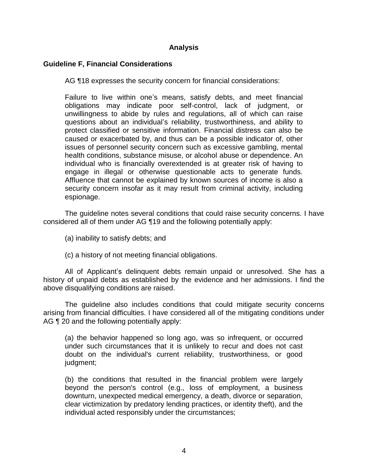# **Analysis**

### **Guideline F, Financial Considerations**

AG ¶18 expresses the security concern for financial considerations:

Failure to live within one's means, satisfy debts, and meet financial obligations may indicate poor self-control, lack of judgment, or unwillingness to abide by rules and regulations, all of which can raise questions about an individual's reliability, trustworthiness, and ability to protect classified or sensitive information. Financial distress can also be caused or exacerbated by, and thus can be a possible indicator of, other issues of personnel security concern such as excessive gambling, mental health conditions, substance misuse, or alcohol abuse or dependence. An individual who is financially overextended is at greater risk of having to engage in illegal or otherwise questionable acts to generate funds. Affluence that cannot be explained by known sources of income is also a security concern insofar as it may result from criminal activity, including espionage.

 The guideline notes several conditions that could raise security concerns. I have considered all of them under AG ¶19 and the following potentially apply:

- (a) inability to satisfy debts; and
- (c) a history of not meeting financial obligations.

 All of Applicant's delinquent debts remain unpaid or unresolved. She has a history of unpaid debts as established by the evidence and her admissions. I find the above disqualifying conditions are raised.

 The guideline also includes conditions that could mitigate security concerns arising from financial difficulties. I have considered all of the mitigating conditions under AG ¶ 20 and the following potentially apply:

(a) the behavior happened so long ago, was so infrequent, or occurred under such circumstances that it is unlikely to recur and does not cast doubt on the individual's current reliability, trustworthiness, or good judgment;

 (b) the conditions that resulted in the financial problem were largely beyond the person's control (e.g., loss of employment, a business clear victimization by predatory lending practices, or identity theft), and the downturn, unexpected medical emergency, a death, divorce or separation, individual acted responsibly under the circumstances;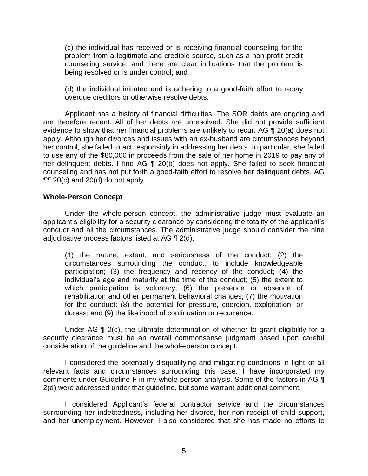(c) the individual has received or is receiving financial counseling for the problem from a legitimate and credible source, such as a non-profit credit counseling service, and there are clear indications that the problem is being resolved or is under control; and

 (d) the individual initiated and is adhering to a good-faith effort to repay overdue creditors or otherwise resolve debts.

 Applicant has a history of financial difficulties. The SOR debts are ongoing and are therefore recent. All of her debts are unresolved. She did not provide sufficient evidence to show that her financial problems are unlikely to recur. AG ¶ 20(a) does not apply. Although her divorces and issues with an ex-husband are circumstances beyond her control, she failed to act responsibly in addressing her debts. In particular, she failed to use any of the \$80,000 in proceeds from the sale of her home in 2019 to pay any of her delinquent debts. I find AG ¶ 20(b) does not apply. She failed to seek financial counseling and has not put forth a good-faith effort to resolve her delinquent debts. AG  $\P$ [ $\degree$  20(c) and 20(d) do not apply.

#### **Whole-Person Concept**

 Under the whole-person concept, the administrative judge must evaluate an applicant's eligibility for a security clearance by considering the totality of the applicant's conduct and all the circumstances. The administrative judge should consider the nine adjudicative process factors listed at AG ¶ 2(d):

(1) the nature, extent, and seriousness of the conduct; (2) the circumstances surrounding the conduct, to include knowledgeable participation; (3) the frequency and recency of the conduct; (4) the individual's age and maturity at the time of the conduct; (5) the extent to which participation is voluntary; (6) the presence or absence of rehabilitation and other permanent behavioral changes; (7) the motivation for the conduct; (8) the potential for pressure, coercion, exploitation, or duress; and (9) the likelihood of continuation or recurrence.

Under AG ¶ 2(c), the ultimate determination of whether to grant eligibility for a security clearance must be an overall commonsense judgment based upon careful consideration of the guideline and the whole-person concept.

 I considered the potentially disqualifying and mitigating conditions in light of all relevant facts and circumstances surrounding this case. I have incorporated my comments under Guideline F in my whole-person analysis. Some of the factors in AG ¶ 2(d) were addressed under that guideline, but some warrant additional comment.

I considered Applicant's federal contractor service and the circumstances surrounding her indebtedness, including her divorce, her non receipt of child support, and her unemployment. However, I also considered that she has made no efforts to